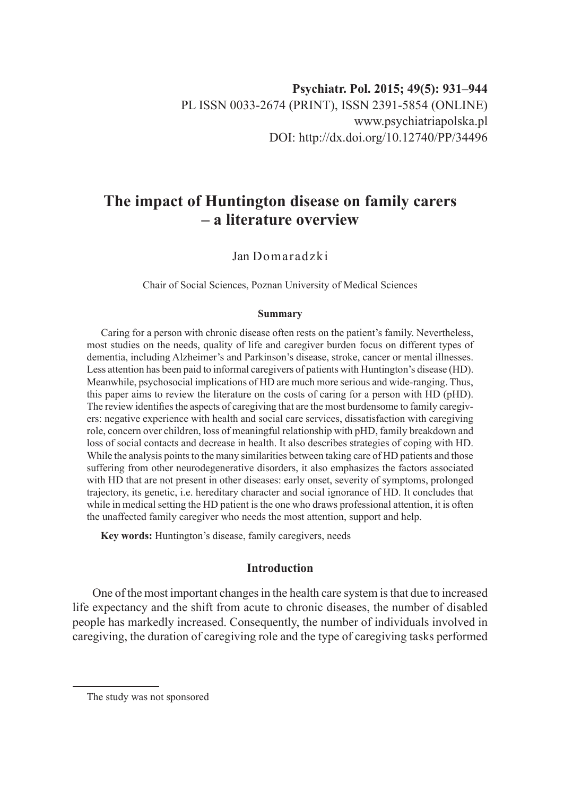# **The impact of Huntington disease on family carers – a literature overview**

Jan Domaradzki

Chair of Social Sciences, Poznan University of Medical Sciences

### **Summary**

Caring for a person with chronic disease often rests on the patient's family. Nevertheless, most studies on the needs, quality of life and caregiver burden focus on different types of dementia, including Alzheimer's and Parkinson's disease, stroke, cancer or mental illnesses. Less attention has been paid to informal caregivers of patients with Huntington's disease (HD). Meanwhile, psychosocial implications of HD are much more serious and wide-ranging. Thus, this paper aims to review the literature on the costs of caring for a person with HD (pHD). The review identifies the aspects of caregiving that are the most burdensome to family caregivers: negative experience with health and social care services, dissatisfaction with caregiving role, concern over children, loss of meaningful relationship with pHD, family breakdown and loss of social contacts and decrease in health. It also describes strategies of coping with HD. While the analysis points to the many similarities between taking care of HD patients and those suffering from other neurodegenerative disorders, it also emphasizes the factors associated with HD that are not present in other diseases: early onset, severity of symptoms, prolonged trajectory, its genetic, i.e. hereditary character and social ignorance of HD. It concludes that while in medical setting the HD patient is the one who draws professional attention, it is often the unaffected family caregiver who needs the most attention, support and help.

**Key words:** Huntington's disease, family caregivers, needs

# **Introduction**

One of the most important changes in the health care system is that due to increased life expectancy and the shift from acute to chronic diseases, the number of disabled people has markedly increased. Consequently, the number of individuals involved in caregiving, the duration of caregiving role and the type of caregiving tasks performed

The study was not sponsored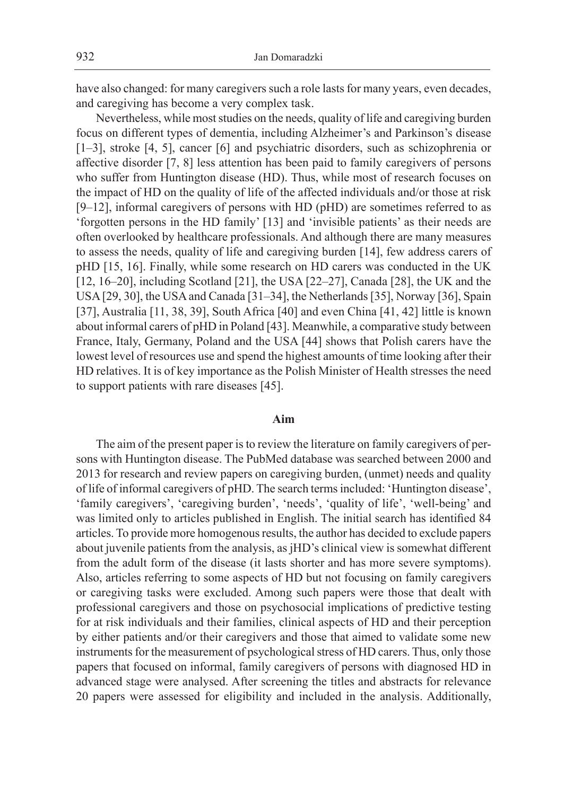have also changed: for many caregivers such a role lasts for many years, even decades, and caregiving has become a very complex task.

Nevertheless, while most studies on the needs, quality of life and caregiving burden focus on different types of dementia, including Alzheimer's and Parkinson's disease [1–3], stroke [4, 5], cancer [6] and psychiatric disorders, such as schizophrenia or affective disorder [7, 8] less attention has been paid to family caregivers of persons who suffer from Huntington disease (HD). Thus, while most of research focuses on the impact of HD on the quality of life of the affected individuals and/or those at risk [9–12], informal caregivers of persons with HD (pHD) are sometimes referred to as 'forgotten persons in the HD family' [13] and 'invisible patients' as their needs are often overlooked by healthcare professionals. And although there are many measures to assess the needs, quality of life and caregiving burden [14], few address carers of pHD [15, 16]. Finally, while some research on HD carers was conducted in the UK [12, 16–20], including Scotland [21], the USA [22–27], Canada [28], the UK and the USA [29, 30], the USA and Canada [31–34], the Netherlands [35], Norway [36], Spain [37], Australia [11, 38, 39], South Africa [40] and even China [41, 42] little is known about informal carers of pHD in Poland [43]. Meanwhile, a comparative study between France, Italy, Germany, Poland and the USA [44] shows that Polish carers have the lowest level of resources use and spend the highest amounts of time looking after their HD relatives. It is of key importance as the Polish Minister of Health stresses the need to support patients with rare diseases [45].

#### **Aim**

The aim of the present paper is to review the literature on family caregivers of persons with Huntington disease. The PubMed database was searched between 2000 and 2013 for research and review papers on caregiving burden, (unmet) needs and quality of life of informal caregivers of pHD. The search terms included: 'Huntington disease', 'family caregivers', 'caregiving burden', 'needs', 'quality of life', 'well-being' and was limited only to articles published in English. The initial search has identified 84 articles. To provide more homogenous results, the author has decided to exclude papers about juvenile patients from the analysis, as jHD's clinical view is somewhat different from the adult form of the disease (it lasts shorter and has more severe symptoms). Also, articles referring to some aspects of HD but not focusing on family caregivers or caregiving tasks were excluded. Among such papers were those that dealt with professional caregivers and those on psychosocial implications of predictive testing for at risk individuals and their families, clinical aspects of HD and their perception by either patients and/or their caregivers and those that aimed to validate some new instruments for the measurement of psychological stress of HD carers. Thus, only those papers that focused on informal, family caregivers of persons with diagnosed HD in advanced stage were analysed. After screening the titles and abstracts for relevance 20 papers were assessed for eligibility and included in the analysis. Additionally,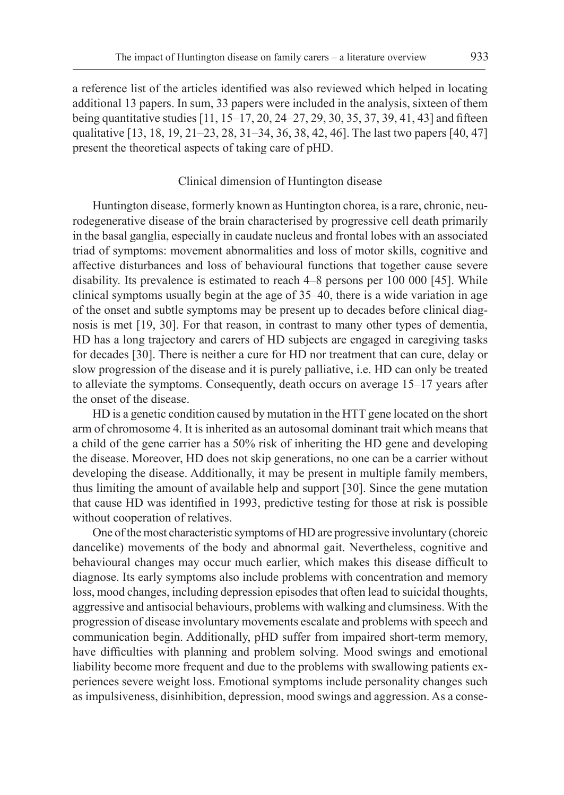a reference list of the articles identified was also reviewed which helped in locating additional 13 papers. In sum, 33 papers were included in the analysis, sixteen of them being quantitative studies [11, 15–17, 20, 24–27, 29, 30, 35, 37, 39, 41, 43] and fifteen qualitative [13, 18, 19, 21–23, 28, 31–34, 36, 38, 42, 46]. The last two papers [40, 47] present the theoretical aspects of taking care of pHD.

# Clinical dimension of Huntington disease

Huntington disease, formerly known as Huntington chorea, is a rare, chronic, neurodegenerative disease of the brain characterised by progressive cell death primarily in the basal ganglia, especially in caudate nucleus and frontal lobes with an associated triad of symptoms: movement abnormalities and loss of motor skills, cognitive and affective disturbances and loss of behavioural functions that together cause severe disability. Its prevalence is estimated to reach 4–8 persons per 100 000 [45]. While clinical symptoms usually begin at the age of 35–40, there is a wide variation in age of the onset and subtle symptoms may be present up to decades before clinical diagnosis is met [19, 30]. For that reason, in contrast to many other types of dementia, HD has a long trajectory and carers of HD subjects are engaged in caregiving tasks for decades [30]. There is neither a cure for HD nor treatment that can cure, delay or slow progression of the disease and it is purely palliative, i.e. HD can only be treated to alleviate the symptoms. Consequently, death occurs on average 15–17 years after the onset of the disease.

HD is a genetic condition caused by mutation in the HTT gene located on the short arm of chromosome 4. It is inherited as an autosomal dominant trait which means that a child of the gene carrier has a 50% risk of inheriting the HD gene and developing the disease. Moreover, HD does not skip generations, no one can be a carrier without developing the disease. Additionally, it may be present in multiple family members, thus limiting the amount of available help and support [30]. Since the gene mutation that cause HD was identified in 1993, predictive testing for those at risk is possible without cooperation of relatives.

One of the most characteristic symptoms of HD are progressive involuntary (choreic dancelike) movements of the body and abnormal gait. Nevertheless, cognitive and behavioural changes may occur much earlier, which makes this disease difficult to diagnose. Its early symptoms also include problems with concentration and memory loss, mood changes, including depression episodes that often lead to suicidal thoughts, aggressive and antisocial behaviours, problems with walking and clumsiness. With the progression of disease involuntary movements escalate and problems with speech and communication begin. Additionally, pHD suffer from impaired short-term memory, have difficulties with planning and problem solving. Mood swings and emotional liability become more frequent and due to the problems with swallowing patients experiences severe weight loss. Emotional symptoms include personality changes such as impulsiveness, disinhibition, depression, mood swings and aggression. As a conse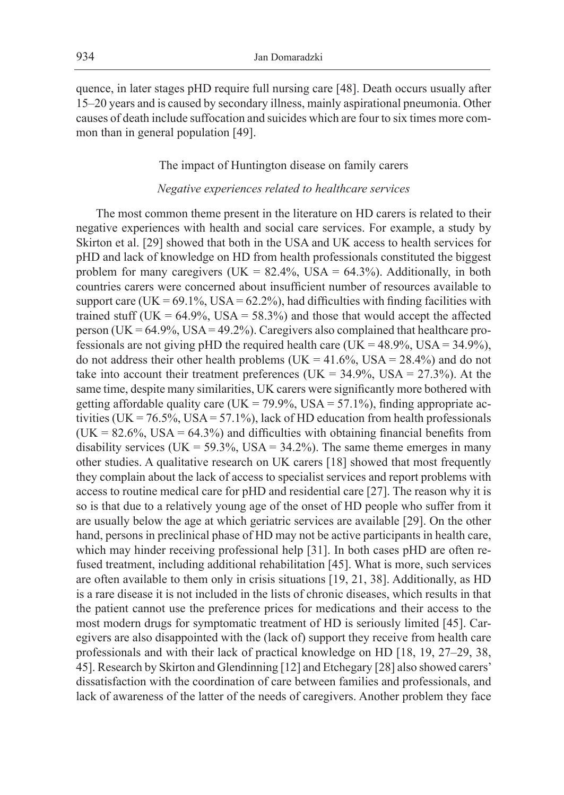quence, in later stages pHD require full nursing care [48]. Death occurs usually after 15–20 years and is caused by secondary illness, mainly aspirational pneumonia. Other causes of death include suffocation and suicides which are four to six times more common than in general population [49].

# The impact of Huntington disease on family carers

# *Negative experiences related to healthcare services*

The most common theme present in the literature on HD carers is related to their negative experiences with health and social care services. For example, a study by Skirton et al. [29] showed that both in the USA and UK access to health services for pHD and lack of knowledge on HD from health professionals constituted the biggest problem for many caregivers (UK =  $82.4\%$ , USA =  $64.3\%$ ). Additionally, in both countries carers were concerned about insufficient number of resources available to support care (UK =  $69.1\%$ , USA =  $62.2\%$ ), had difficulties with finding facilities with trained stuff (UK =  $64.9\%$ , USA =  $58.3\%$ ) and those that would accept the affected person (UK =  $64.9\%$ , USA =  $49.2\%$ ). Caregivers also complained that healthcare professionals are not giving pHD the required health care (UK =  $48.9\%$ , USA =  $34.9\%$ ), do not address their other health problems (UK =  $41.6\%$ , USA =  $28.4\%$ ) and do not take into account their treatment preferences (UK =  $34.9\%$ , USA =  $27.3\%$ ). At the same time, despite many similarities, UK carers were significantly more bothered with getting affordable quality care (UK = 79.9%, USA = 57.1%), finding appropriate activities (UK =  $76.5\%$ , USA =  $57.1\%$ ), lack of HD education from health professionals  $(UK = 82.6\%, USA = 64.3\%)$  and difficulties with obtaining financial benefits from disability services (UK =  $59.3\%$ , USA =  $34.2\%$ ). The same theme emerges in many other studies. A qualitative research on UK carers [18] showed that most frequently they complain about the lack of access to specialist services and report problems with access to routine medical care for pHD and residential care [27]. The reason why it is so is that due to a relatively young age of the onset of HD people who suffer from it are usually below the age at which geriatric services are available [29]. On the other hand, persons in preclinical phase of HD may not be active participants in health care, which may hinder receiving professional help [31]. In both cases pHD are often refused treatment, including additional rehabilitation [45]. What is more, such services are often available to them only in crisis situations [19, 21, 38]. Additionally, as HD is a rare disease it is not included in the lists of chronic diseases, which results in that the patient cannot use the preference prices for medications and their access to the most modern drugs for symptomatic treatment of HD is seriously limited [45]. Caregivers are also disappointed with the (lack of) support they receive from health care professionals and with their lack of practical knowledge on HD [18, 19, 27–29, 38, 45]. Research by Skirton and Glendinning [12] and Etchegary [28] also showed carers' dissatisfaction with the coordination of care between families and professionals, and lack of awareness of the latter of the needs of caregivers. Another problem they face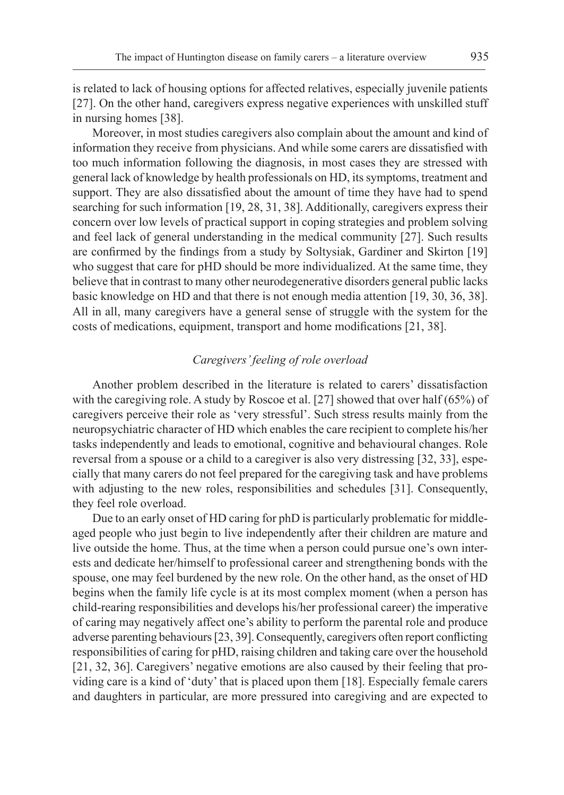is related to lack of housing options for affected relatives, especially juvenile patients [27]. On the other hand, caregivers express negative experiences with unskilled stuff in nursing homes [38].

Moreover, in most studies caregivers also complain about the amount and kind of information they receive from physicians. And while some carers are dissatisfied with too much information following the diagnosis, in most cases they are stressed with general lack of knowledge by health professionals on HD, its symptoms, treatment and support. They are also dissatisfied about the amount of time they have had to spend searching for such information [19, 28, 31, 38]. Additionally, caregivers express their concern over low levels of practical support in coping strategies and problem solving and feel lack of general understanding in the medical community [27]. Such results are confirmed by the findings from a study by Soltysiak, Gardiner and Skirton [19] who suggest that care for pHD should be more individualized. At the same time, they believe that in contrast to many other neurodegenerative disorders general public lacks basic knowledge on HD and that there is not enough media attention [19, 30, 36, 38]. All in all, many caregivers have a general sense of struggle with the system for the costs of medications, equipment, transport and home modifications [21, 38].

# *Caregivers' feeling of role overload*

Another problem described in the literature is related to carers' dissatisfaction with the caregiving role. A study by Roscoe et al. [27] showed that over half (65%) of caregivers perceive their role as 'very stressful'. Such stress results mainly from the neuropsychiatric character of HD which enables the care recipient to complete his/her tasks independently and leads to emotional, cognitive and behavioural changes. Role reversal from a spouse or a child to a caregiver is also very distressing [32, 33], especially that many carers do not feel prepared for the caregiving task and have problems with adjusting to the new roles, responsibilities and schedules [31]. Consequently, they feel role overload.

Due to an early onset of HD caring for phD is particularly problematic for middleaged people who just begin to live independently after their children are mature and live outside the home. Thus, at the time when a person could pursue one's own interests and dedicate her/himself to professional career and strengthening bonds with the spouse, one may feel burdened by the new role. On the other hand, as the onset of HD begins when the family life cycle is at its most complex moment (when a person has child-rearing responsibilities and develops his/her professional career) the imperative of caring may negatively affect one's ability to perform the parental role and produce adverse parenting behaviours[23, 39]. Consequently, caregivers often report conflicting responsibilities of caring for pHD, raising children and taking care over the household [21, 32, 36]. Caregivers' negative emotions are also caused by their feeling that providing care is a kind of 'duty' that is placed upon them [18]. Especially female carers and daughters in particular, are more pressured into caregiving and are expected to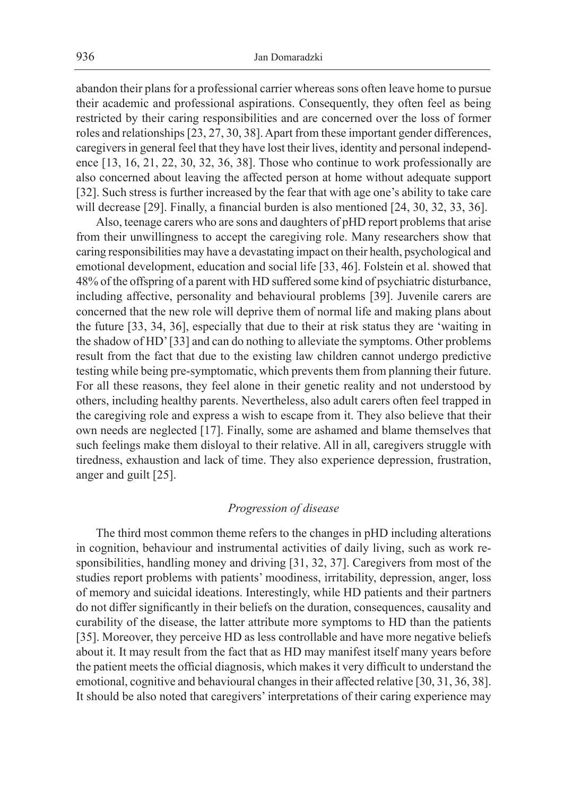abandon their plans for a professional carrier whereas sons often leave home to pursue their academic and professional aspirations. Consequently, they often feel as being restricted by their caring responsibilities and are concerned over the loss of former roles and relationships [23, 27, 30, 38]. Apart from these important gender differences, caregivers in general feel that they have lost their lives, identity and personal independence [13, 16, 21, 22, 30, 32, 36, 38]. Those who continue to work professionally are also concerned about leaving the affected person at home without adequate support [32]. Such stress is further increased by the fear that with age one's ability to take care will decrease [29]. Finally, a financial burden is also mentioned [24, 30, 32, 33, 36].

Also, teenage carers who are sons and daughters of pHD report problems that arise from their unwillingness to accept the caregiving role. Many researchers show that caring responsibilities may have a devastating impact on their health, psychological and emotional development, education and social life [33, 46]. Folstein et al. showed that 48% of the offspring of a parent with HD suffered some kind of psychiatric disturbance, including affective, personality and behavioural problems [39]. Juvenile carers are concerned that the new role will deprive them of normal life and making plans about the future [33, 34, 36], especially that due to their at risk status they are 'waiting in the shadow of HD' [33] and can do nothing to alleviate the symptoms. Other problems result from the fact that due to the existing law children cannot undergo predictive testing while being pre-symptomatic, which prevents them from planning their future. For all these reasons, they feel alone in their genetic reality and not understood by others, including healthy parents. Nevertheless, also adult carers often feel trapped in the caregiving role and express a wish to escape from it. They also believe that their own needs are neglected [17]. Finally, some are ashamed and blame themselves that such feelings make them disloyal to their relative. All in all, caregivers struggle with tiredness, exhaustion and lack of time. They also experience depression, frustration, anger and guilt [25].

# *Progression of disease*

The third most common theme refers to the changes in pHD including alterations in cognition, behaviour and instrumental activities of daily living, such as work responsibilities, handling money and driving [31, 32, 37]. Caregivers from most of the studies report problems with patients' moodiness, irritability, depression, anger, loss of memory and suicidal ideations. Interestingly, while HD patients and their partners do not differ significantly in their beliefs on the duration, consequences, causality and curability of the disease, the latter attribute more symptoms to HD than the patients [35]. Moreover, they perceive HD as less controllable and have more negative beliefs about it. It may result from the fact that as HD may manifest itself many years before the patient meets the official diagnosis, which makes it very difficult to understand the emotional, cognitive and behavioural changes in their affected relative [30, 31, 36, 38]. It should be also noted that caregivers' interpretations of their caring experience may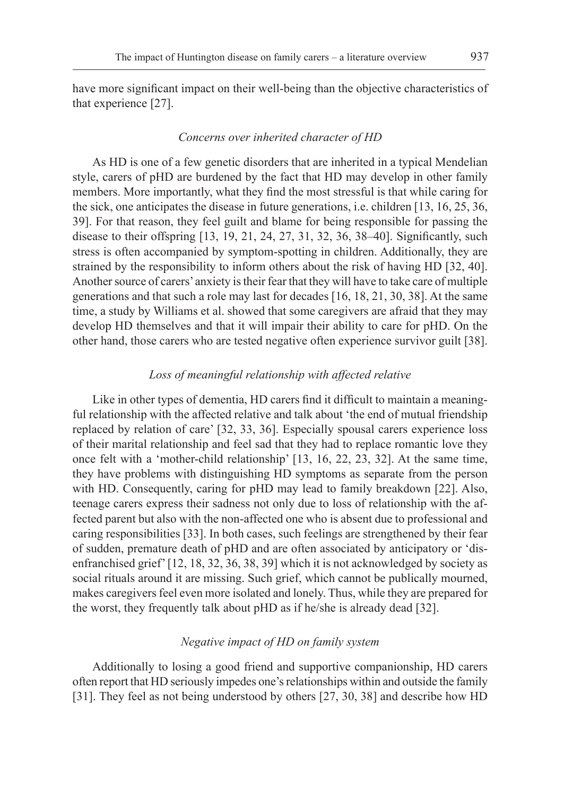have more significant impact on their well-being than the objective characteristics of that experience [27].

#### *Concerns over inherited character of HD*

As HD is one of a few genetic disorders that are inherited in a typical Mendelian style, carers of pHD are burdened by the fact that HD may develop in other family members. More importantly, what they find the most stressful is that while caring for the sick, one anticipates the disease in future generations, i.e. children [13, 16, 25, 36, 39]. For that reason, they feel guilt and blame for being responsible for passing the disease to their offspring [13, 19, 21, 24, 27, 31, 32, 36, 38–40]. Significantly, such stress is often accompanied by symptom-spotting in children. Additionally, they are strained by the responsibility to inform others about the risk of having HD [32, 40]. Another source of carers' anxiety is their fear that they will have to take care of multiple generations and that such a role may last for decades [16, 18, 21, 30, 38]. At the same time, a study by Williams et al. showed that some caregivers are afraid that they may develop HD themselves and that it will impair their ability to care for pHD. On the other hand, those carers who are tested negative often experience survivor guilt [38].

## *Loss of meaningful relationship with affected relative*

Like in other types of dementia, HD carers find it difficult to maintain a meaningful relationship with the affected relative and talk about 'the end of mutual friendship replaced by relation of care' [32, 33, 36]. Especially spousal carers experience loss of their marital relationship and feel sad that they had to replace romantic love they once felt with a 'mother-child relationship' [13, 16, 22, 23, 32]. At the same time, they have problems with distinguishing HD symptoms as separate from the person with HD. Consequently, caring for pHD may lead to family breakdown [22]. Also, teenage carers express their sadness not only due to loss of relationship with the affected parent but also with the non-affected one who is absent due to professional and caring responsibilities [33]. In both cases, such feelings are strengthened by their fear of sudden, premature death of pHD and are often associated by anticipatory or 'disenfranchised grief' [12, 18, 32, 36, 38, 39] which it is not acknowledged by society as social rituals around it are missing. Such grief, which cannot be publically mourned, makes caregivers feel even more isolated and lonely. Thus, while they are prepared for the worst, they frequently talk about pHD as if he/she is already dead [32].

# *Negative impact of HD on family system*

Additionally to losing a good friend and supportive companionship, HD carers often report that HD seriously impedes one's relationships within and outside the family [31]. They feel as not being understood by others [27, 30, 38] and describe how HD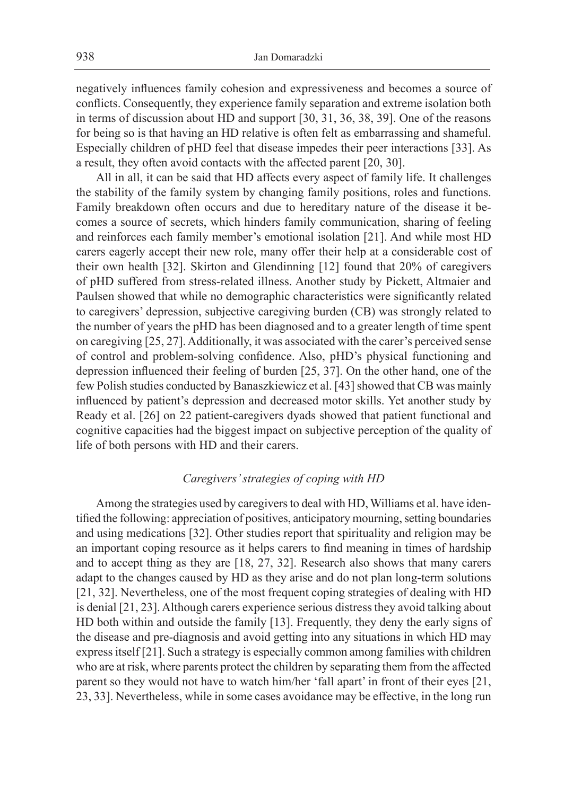negatively influences family cohesion and expressiveness and becomes a source of conflicts. Consequently, they experience family separation and extreme isolation both in terms of discussion about HD and support [30, 31, 36, 38, 39]. One of the reasons for being so is that having an HD relative is often felt as embarrassing and shameful. Especially children of pHD feel that disease impedes their peer interactions [33]. As a result, they often avoid contacts with the affected parent [20, 30].

All in all, it can be said that HD affects every aspect of family life. It challenges the stability of the family system by changing family positions, roles and functions. Family breakdown often occurs and due to hereditary nature of the disease it becomes a source of secrets, which hinders family communication, sharing of feeling and reinforces each family member's emotional isolation [21]. And while most HD carers eagerly accept their new role, many offer their help at a considerable cost of their own health [32]. Skirton and Glendinning [12] found that 20% of caregivers of pHD suffered from stress-related illness. Another study by Pickett, Altmaier and Paulsen showed that while no demographic characteristics were significantly related to caregivers' depression, subjective caregiving burden (CB) was strongly related to the number of years the pHD has been diagnosed and to a greater length of time spent on caregiving [25, 27]. Additionally, it was associated with the carer's perceived sense of control and problem-solving confidence. Also, pHD's physical functioning and depression influenced their feeling of burden [25, 37]. On the other hand, one of the few Polish studies conducted by Banaszkiewicz et al. [43] showed that CB was mainly influenced by patient's depression and decreased motor skills. Yet another study by Ready et al. [26] on 22 patient-caregivers dyads showed that patient functional and cognitive capacities had the biggest impact on subjective perception of the quality of life of both persons with HD and their carers.

# *Caregivers' strategies of coping with HD*

Among the strategies used by caregivers to deal with HD, Williams et al. have identified the following: appreciation of positives, anticipatory mourning, setting boundaries and using medications [32]. Other studies report that spirituality and religion may be an important coping resource as it helps carers to find meaning in times of hardship and to accept thing as they are [18, 27, 32]. Research also shows that many carers adapt to the changes caused by HD as they arise and do not plan long-term solutions [21, 32]. Nevertheless, one of the most frequent coping strategies of dealing with HD is denial [21, 23]. Although carers experience serious distress they avoid talking about HD both within and outside the family [13]. Frequently, they deny the early signs of the disease and pre-diagnosis and avoid getting into any situations in which HD may express itself [21]. Such a strategy is especially common among families with children who are at risk, where parents protect the children by separating them from the affected parent so they would not have to watch him/her 'fall apart' in front of their eyes [21, 23, 33]. Nevertheless, while in some cases avoidance may be effective, in the long run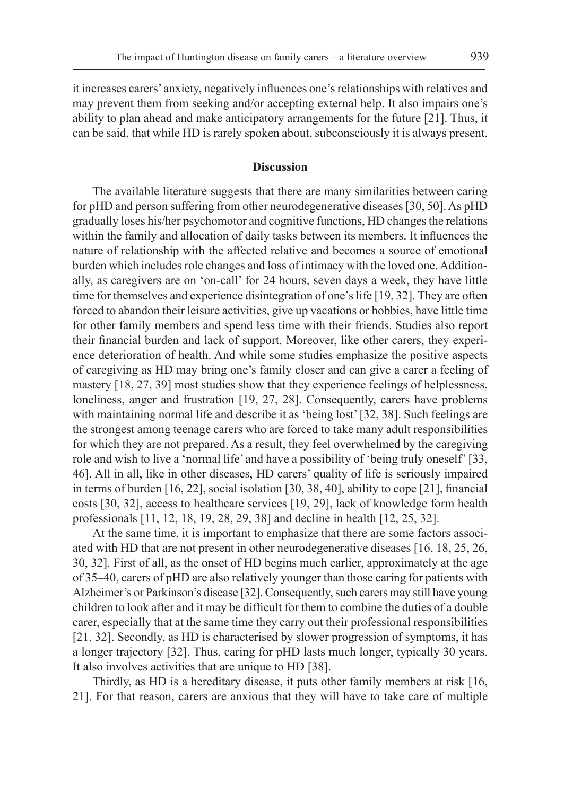it increases carers'anxiety, negatively influences one'srelationships with relatives and may prevent them from seeking and/or accepting external help. It also impairs one's ability to plan ahead and make anticipatory arrangements for the future [21]. Thus, it can be said, that while HD is rarely spoken about, subconsciously it is always present.

# **Discussion**

The available literature suggests that there are many similarities between caring for pHD and person suffering from other neurodegenerative diseases [30, 50]. As pHD gradually loses his/her psychomotor and cognitive functions, HD changes the relations within the family and allocation of daily tasks between its members. It influences the nature of relationship with the affected relative and becomes a source of emotional burden which includes role changes and loss of intimacy with the loved one. Additionally, as caregivers are on 'on-call' for 24 hours, seven days a week, they have little time for themselves and experience disintegration of one's life [19, 32]. They are often forced to abandon their leisure activities, give up vacations or hobbies, have little time for other family members and spend less time with their friends. Studies also report their financial burden and lack of support. Moreover, like other carers, they experience deterioration of health. And while some studies emphasize the positive aspects of caregiving as HD may bring one's family closer and can give a carer a feeling of mastery [18, 27, 39] most studies show that they experience feelings of helplessness, loneliness, anger and frustration [19, 27, 28]. Consequently, carers have problems with maintaining normal life and describe it as 'being lost' [32, 38]. Such feelings are the strongest among teenage carers who are forced to take many adult responsibilities for which they are not prepared. As a result, they feel overwhelmed by the caregiving role and wish to live a 'normal life' and have a possibility of 'being truly oneself' [33, 46]. All in all, like in other diseases, HD carers' quality of life is seriously impaired in terms of burden [16, 22], social isolation [30, 38, 40], ability to cope [21], financial costs [30, 32], access to healthcare services [19, 29], lack of knowledge form health professionals [11, 12, 18, 19, 28, 29, 38] and decline in health [12, 25, 32].

At the same time, it is important to emphasize that there are some factors associated with HD that are not present in other neurodegenerative diseases [16, 18, 25, 26, 30, 32]. First of all, as the onset of HD begins much earlier, approximately at the age of 35–40, carers of pHD are also relatively younger than those caring for patients with Alzheimer's or Parkinson's disease [32]. Consequently, such carers may still have young children to look after and it may be difficult for them to combine the duties of a double carer, especially that at the same time they carry out their professional responsibilities [21, 32]. Secondly, as HD is characterised by slower progression of symptoms, it has a longer trajectory [32]. Thus, caring for pHD lasts much longer, typically 30 years. It also involves activities that are unique to HD [38].

Thirdly, as HD is a hereditary disease, it puts other family members at risk [16, 21]. For that reason, carers are anxious that they will have to take care of multiple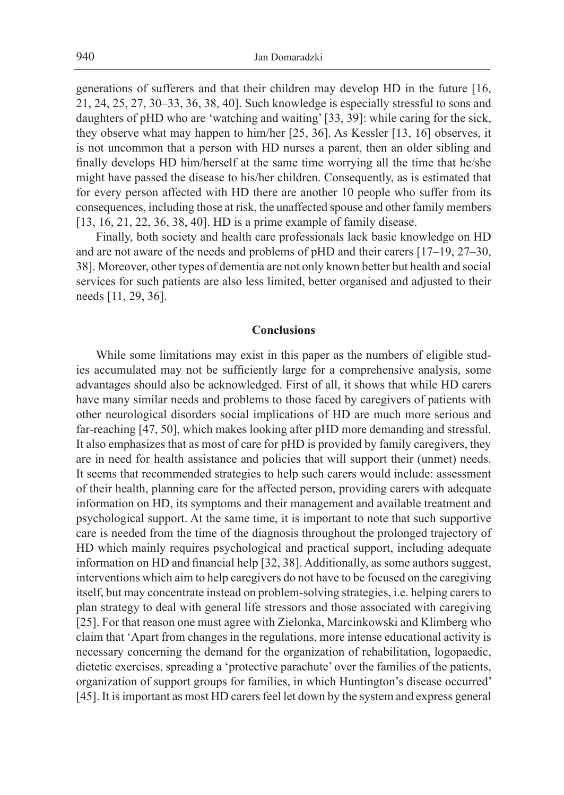generations of sufferers and that their children may develop HD in the future [16, 21, 24, 25, 27, 30–33, 36, 38, 40]. Such knowledge is especially stressful to sons and daughters of pHD who are 'watching and waiting' [33, 39]: while caring for the sick, they observe what may happen to him/her [25, 36]. As Kessler [13, 16] observes, it is not uncommon that a person with HD nurses a parent, then an older sibling and finally develops HD him/herself at the same time worrying all the time that he/she might have passed the disease to his/her children. Consequently, as is estimated that for every person affected with HD there are another 10 people who suffer from its consequences, including those at risk, the unaffected spouse and other family members [13, 16, 21, 22, 36, 38, 40]. HD is a prime example of family disease.

Finally, both society and health care professionals lack basic knowledge on HD and are not aware of the needs and problems of pHD and their carers [17–19, 27–30, 38]. Moreover, other types of dementia are not only known better but health and social services for such patients are also less limited, better organised and adjusted to their needs [11, 29, 36].

### **Conclusions**

While some limitations may exist in this paper as the numbers of eligible studies accumulated may not be sufficiently large for a comprehensive analysis, some advantages should also be acknowledged. First of all, it shows that while HD carers have many similar needs and problems to those faced by caregivers of patients with other neurological disorders social implications of HD are much more serious and far-reaching [47, 50], which makes looking after pHD more demanding and stressful. It also emphasizes that as most of care for pHD is provided by family caregivers, they are in need for health assistance and policies that will support their (unmet) needs. It seems that recommended strategies to help such carers would include: assessment of their health, planning care for the affected person, providing carers with adequate information on HD, its symptoms and their management and available treatment and psychological support. At the same time, it is important to note that such supportive care is needed from the time of the diagnosis throughout the prolonged trajectory of HD which mainly requires psychological and practical support, including adequate information on HD and financial help [32, 38]. Additionally, as some authors suggest, interventions which aim to help caregivers do not have to be focused on the caregiving itself, but may concentrate instead on problem-solving strategies, i.e. helping carers to plan strategy to deal with general life stressors and those associated with caregiving [25]. For that reason one must agree with Zielonka, Marcinkowski and Klimberg who claim that 'Apart from changes in the regulations, more intense educational activity is necessary concerning the demand for the organization of rehabilitation, logopaedic, dietetic exercises, spreading a 'protective parachute' over the families of the patients, organization of support groups for families, in which Huntington's disease occurred' [45]. It is important as most HD carers feel let down by the system and express general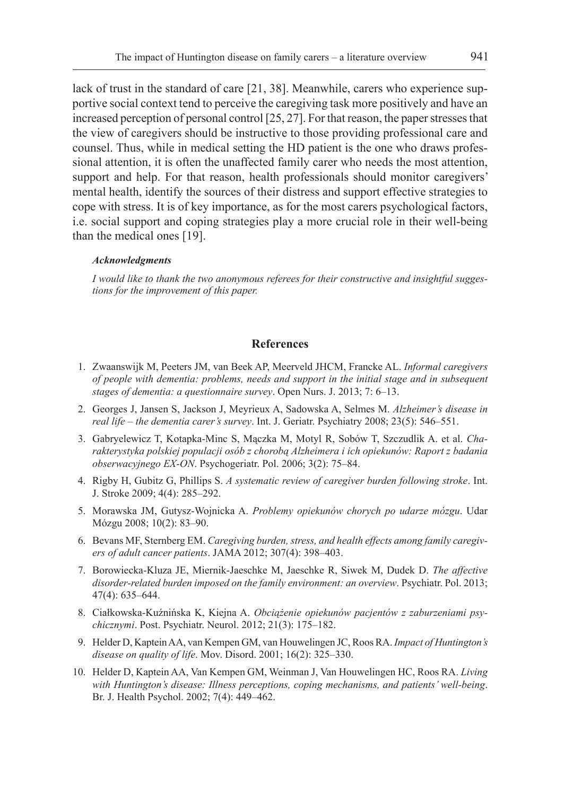lack of trust in the standard of care [21, 38]. Meanwhile, carers who experience supportive social context tend to perceive the caregiving task more positively and have an increased perception of personal control [25, 27]. For that reason, the paper stresses that the view of caregivers should be instructive to those providing professional care and counsel. Thus, while in medical setting the HD patient is the one who draws professional attention, it is often the unaffected family carer who needs the most attention, support and help. For that reason, health professionals should monitor caregivers' mental health, identify the sources of their distress and support effective strategies to cope with stress. It is of key importance, as for the most carers psychological factors, i.e. social support and coping strategies play a more crucial role in their well-being than the medical ones [19].

#### *Acknowledgments*

*I would like to thank the two anonymous referees for their constructive and insightful suggestions for the improvement of this paper.*

# **References**

- 1. Zwaanswijk M, Peeters JM, van Beek AP, Meerveld JHCM, Francke AL. *Informal caregivers of people with dementia: problems, needs and support in the initial stage and in subsequent stages of dementia: a questionnaire survey*. Open Nurs. J. 2013; 7: 6–13.
- 2. Georges J, Jansen S, Jackson J, Meyrieux A, Sadowska A, Selmes M. *Alzheimer's disease in real life – the dementia carer's survey*. Int. J. Geriatr. Psychiatry 2008; 23(5): 546–551.
- 3. Gabryelewicz T, Kotapka-Minc S, Mączka M, Motyl R, Sobów T, Szczudlik A. et al. *Charakterystyka polskiej populacji osób z chorobą Alzheimera i ich opiekunów: Raport z badania obserwacyjnego EX-ON*. Psychogeriatr. Pol. 2006; 3(2): 75–84.
- 4. Rigby H, Gubitz G, Phillips S. *A systematic review of caregiver burden following stroke*. Int. J. Stroke 2009; 4(4): 285–292.
- 5. Morawska JM, Gutysz-Wojnicka A. *Problemy opiekunów chorych po udarze mózgu*. Udar Mózgu 2008; 10(2): 83–90.
- 6. Bevans MF, Sternberg EM. *Caregiving burden, stress, and health effects among family caregivers of adult cancer patients*. JAMA 2012; 307(4): 398–403.
- 7. Borowiecka-Kluza JE, Miernik-Jaeschke M, Jaeschke R, Siwek M, Dudek D. *The affective disorder-related burden imposed on the family environment: an overview*. Psychiatr. Pol. 2013; 47(4): 635–644.
- 8. Ciałkowska-Kuźnińska K, Kiejna A. *Obciążenie opiekunów pacjentów z zaburzeniami psychicznymi*. Post. Psychiatr. Neurol. 2012; 21(3): 175–182.
- 9. Helder D, Kaptein AA, van Kempen GM, van Houwelingen JC, Roos RA. *Impact of Huntington's disease on quality of life*. Mov. Disord. 2001; 16(2): 325–330.
- 10. Helder D, Kaptein AA, Van Kempen GM, Weinman J, Van Houwelingen HC, Roos RA. *Living with Huntington's disease: Illness perceptions, coping mechanisms, and patients' well-being*. Br. J. Health Psychol. 2002; 7(4): 449–462.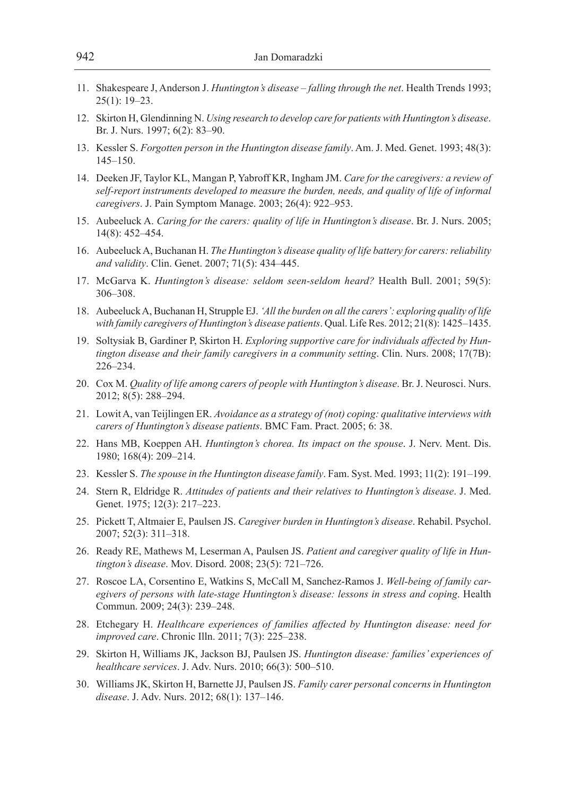- 11. Shakespeare J, Anderson J. *Huntington's disease falling through the net*. Health Trends 1993; 25(1): 19–23.
- 12. Skirton H, Glendinning N. *Using research to develop care for patients with Huntington's disease*. Br. J. Nurs. 1997; 6(2): 83–90.
- 13. Kessler S. *Forgotten person in the Huntington disease family*. Am. J. Med. Genet. 1993; 48(3): 145–150.
- 14. Deeken JF, Taylor KL, Mangan P, Yabroff KR, Ingham JM. *Care for the caregivers: a review of self-report instruments developed to measure the burden, needs, and quality of life of informal caregivers*. J. Pain Symptom Manage. 2003; 26(4): 922–953.
- 15. Aubeeluck A. *Caring for the carers: quality of life in Huntington's disease*. Br. J. Nurs. 2005; 14(8): 452–454.
- 16. Aubeeluck A, Buchanan H. *The Huntington's disease quality of life battery for carers: reliability and validity*. Clin. Genet. 2007; 71(5): 434–445.
- 17. McGarva K. *Huntington's disease: seldom seen-seldom heard?* Health Bull. 2001; 59(5): 306–308.
- 18. Aubeeluck A, Buchanan H, Strupple EJ. *'All the burden on all the carers': exploring quality of life with family caregivers of Huntington's disease patients*. Qual. Life Res. 2012; 21(8): 1425–1435.
- 19. Soltysiak B, Gardiner P, Skirton H. *Exploring supportive care for individuals affected by Huntington disease and their family caregivers in a community setting*. Clin. Nurs. 2008; 17(7B): 226–234.
- 20. Cox M. *Quality of life among carers of people with Huntington's disease*. Br. J. Neurosci. Nurs. 2012; 8(5): 288–294.
- 21. Lowit A, van Teijlingen ER. *Avoidance as a strategy of (not) coping: qualitative interviews with carers of Huntington's disease patients*. BMC Fam. Pract. 2005; 6: 38.
- 22. Hans MB, Koeppen AH. *Huntington's chorea. Its impact on the spouse*. J. Nerv. Ment. Dis. 1980; 168(4): 209–214.
- 23. Kessler S. *The spouse in the Huntington disease family*. Fam. Syst. Med. 1993; 11(2): 191–199.
- 24. Stern R, Eldridge R. *Attitudes of patients and their relatives to Huntington's disease*. J. Med. Genet. 1975; 12(3): 217–223.
- 25. Pickett T, Altmaier E, Paulsen JS. *Caregiver burden in Huntington's disease*. Rehabil. Psychol. 2007; 52(3): 311–318.
- 26. Ready RE, Mathews M, Leserman A, Paulsen JS. *Patient and caregiver quality of life in Huntington's disease*. Mov. Disord. 2008; 23(5): 721–726.
- 27. Roscoe LA, Corsentino E, Watkins S, McCall M, Sanchez-Ramos J. *Well-being of family caregivers of persons with late-stage Huntington's disease: lessons in stress and coping*. Health Commun. 2009; 24(3): 239–248.
- 28. Etchegary H. *Healthcare experiences of families affected by Huntington disease: need for improved care*. Chronic Illn. 2011; 7(3): 225–238.
- 29. Skirton H, Williams JK, Jackson BJ, Paulsen JS. *Huntington disease: families' experiences of healthcare services*. J. Adv. Nurs. 2010; 66(3): 500–510.
- 30. Williams JK, Skirton H, Barnette JJ, Paulsen JS. *Family carer personal concerns in Huntington disease*. J. Adv. Nurs. 2012; 68(1): 137–146.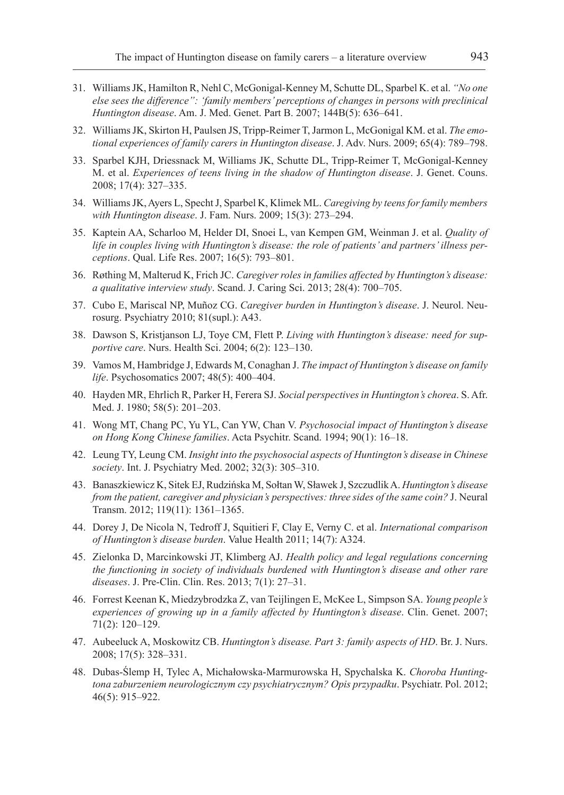- 31. Williams JK, Hamilton R, Nehl C, McGonigal-Kenney M, Schutte DL, Sparbel K. et al. *"No one else sees the difference": 'family members' perceptions of changes in persons with preclinical Huntington disease*. Am. J. Med. Genet. Part B. 2007; 144B(5): 636–641.
- 32. Williams JK, Skirton H, Paulsen JS, Tripp-Reimer T, Jarmon L, McGonigal KM. et al. *The emotional experiences of family carers in Huntington disease*. J. Adv. Nurs. 2009; 65(4): 789–798.
- 33. Sparbel KJH, Driessnack M, Williams JK, Schutte DL, Tripp-Reimer T, McGonigal-Kenney M. et al. *Experiences of teens living in the shadow of Huntington disease*. J. Genet. Couns. 2008; 17(4): 327–335.
- 34. Williams JK, Ayers L, Specht J, Sparbel K, Klimek ML. *Caregiving by teens for family members with Huntington disease*. J. Fam. Nurs. 2009; 15(3): 273–294.
- 35. Kaptein AA, Scharloo M, Helder DI, Snoei L, van Kempen GM, Weinman J. et al. *Quality of life in couples living with Huntington's disease: the role of patients' and partners' illness perceptions*. Qual. Life Res. 2007; 16(5): 793–801.
- 36. Røthing M, Malterud K, Frich JC. *Caregiver roles in families affected by Huntington's disease: a qualitative interview study*. Scand. J. Caring Sci. 2013; 28(4): 700–705.
- 37. Cubo E, Mariscal NP, Muñoz CG. *Caregiver burden in Huntington's disease*. J. Neurol. Neurosurg. Psychiatry 2010; 81(supl.): A43.
- 38. Dawson S, Kristjanson LJ, Toye CM, Flett P. *Living with Huntington's disease: need for supportive care*. Nurs. Health Sci. 2004; 6(2): 123–130.
- 39. Vamos M, Hambridge J, Edwards M, Conaghan J. *The impact of Huntington's disease on family life*. Psychosomatics 2007; 48(5): 400–404.
- 40. Hayden MR, Ehrlich R, Parker H, Ferera SJ. *Social perspectives in Huntington's chorea*. S. Afr. Med. J. 1980; 58(5): 201–203.
- 41. Wong MT, Chang PC, Yu YL, Can YW, Chan V. *Psychosocial impact of Huntington's disease on Hong Kong Chinese families*. Acta Psychitr. Scand. 1994; 90(1): 16–18.
- 42. Leung TY, Leung CM. *Insight into the psychosocial aspects of Huntington's disease in Chinese society*. Int. J. Psychiatry Med. 2002; 32(3): 305–310.
- 43. Banaszkiewicz K, Sitek EJ, Rudzińska M, SołtanW, Sławek J, SzczudlikA. *Huntington's disease from the patient, caregiver and physician's perspectives: three sides of the same coin?* J. Neural Transm. 2012; 119(11): 1361–1365.
- 44. Dorey J, De Nicola N, Tedroff J, Squitieri F, Clay E, Verny C. et al. *International comparison of Huntington's disease burden*. Value Health 2011; 14(7): A324.
- 45. Zielonka D, Marcinkowski JT, Klimberg AJ. *Health policy and legal regulations concerning the functioning in society of individuals burdened with Huntington's disease and other rare diseases*. J. Pre-Clin. Clin. Res. 2013; 7(1): 27–31.
- 46. Forrest Keenan K, Miedzybrodzka Z, van Teijlingen E, McKee L, Simpson SA. *Young people's experiences of growing up in a family affected by Huntington's disease*. Clin. Genet. 2007; 71(2): 120–129.
- 47. Aubeeluck A, Moskowitz CB. *Huntington's disease. Part 3: family aspects of HD*. Br. J. Nurs. 2008; 17(5): 328–331.
- 48. Dubas-Ślemp H, Tylec A, Michałowska-Marmurowska H, Spychalska K. *Choroba Huntingtona zaburzeniem neurologicznym czy psychiatrycznym? Opis przypadku*. Psychiatr. Pol. 2012; 46(5): 915–922.